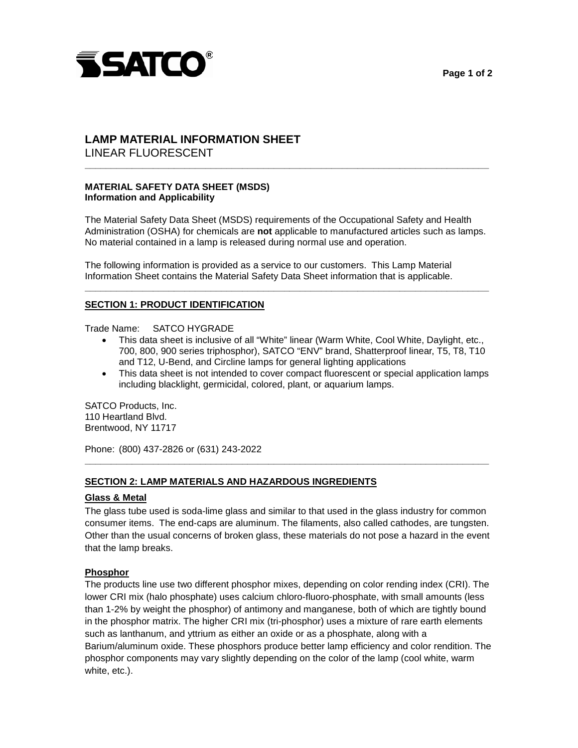



# **LAMP MATERIAL INFORMATION SHEET**  LINEAR FLUORESCENT

# **MATERIAL SAFETY DATA SHEET (MSDS) Information and Applicability**

 The Material Safety Data Sheet (MSDS) requirements of the Occupational Safety and Health Administration (OSHA) for chemicals are **not** applicable to manufactured articles such as lamps. No material contained in a lamp is released during normal use and operation.

**\_\_\_\_\_\_\_\_\_\_\_\_\_\_\_\_\_\_\_\_\_\_\_\_\_\_\_\_\_\_\_\_\_\_\_\_\_\_\_\_\_\_\_\_\_\_\_\_\_\_\_\_\_\_\_\_\_\_\_\_\_\_\_\_\_\_\_\_\_\_\_\_\_\_\_\_\_** 

**\_\_\_\_\_\_\_\_\_\_\_\_\_\_\_\_\_\_\_\_\_\_\_\_\_\_\_\_\_\_\_\_\_\_\_\_\_\_\_\_\_\_\_\_\_\_\_\_\_\_\_\_\_\_\_\_\_\_\_\_\_\_\_\_\_\_\_\_\_\_\_\_\_\_\_\_\_** 

 The following information is provided as a service to our customers. This Lamp Material Information Sheet contains the Material Safety Data Sheet information that is applicable.

## **SECTION 1: PRODUCT IDENTIFICATION**

Trade Name: SATCO HYGRADE

- This data sheet is inclusive of all "White" linear (Warm White, Cool White, Daylight, etc., 700, 800, 900 series triphosphor), SATCO "ENV" brand, Shatterproof linear, T5, T8, T10 and T12, U-Bend, and Circline lamps for general lighting applications
- including blacklight, germicidal, colored, plant, or aquarium lamps. • This data sheet is not intended to cover compact fluorescent or special application lamps

SATCO Products, Inc. 110 Heartland Blvd. Brentwood, NY 11717

Phone: (800) 437-2826 or (631) 243-2022

## **SECTION 2: LAMP MATERIALS AND HAZARDOUS INGREDIENTS**

## **Glass & Metal**

 consumer items. The end-caps are aluminum. The filaments, also called cathodes, are tungsten. The glass tube used is soda-lime glass and similar to that used in the glass industry for common Other than the usual concerns of broken glass, these materials do not pose a hazard in the event that the lamp breaks.

**\_\_\_\_\_\_\_\_\_\_\_\_\_\_\_\_\_\_\_\_\_\_\_\_\_\_\_\_\_\_\_\_\_\_\_\_\_\_\_\_\_\_\_\_\_\_\_\_\_\_\_\_\_\_\_\_\_\_\_\_\_\_\_\_\_\_\_\_\_\_\_\_\_\_\_\_\_** 

## **Phosphor**

 lower CRI mix (halo phosphate) uses calcium chloro-fluoro-phosphate, with small amounts (less than 1-2% by weight the phosphor) of antimony and manganese, both of which are tightly bound phosphor components may vary slightly depending on the color of the lamp (cool white, warm The products line use two different phosphor mixes, depending on color rending index (CRI). The in the phosphor matrix. The higher CRI mix (tri-phosphor) uses a mixture of rare earth elements such as lanthanum, and yttrium as either an oxide or as a phosphate, along with a Barium/aluminum oxide. These phosphors produce better lamp efficiency and color rendition. The white, etc.).